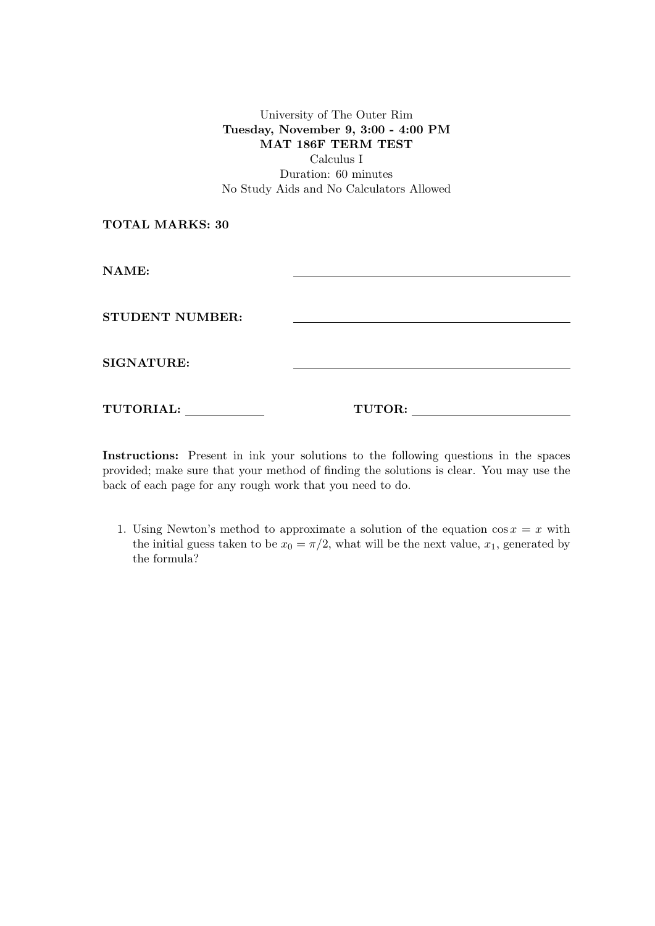University of The Outer Rim Tuesday, November 9, 3:00 - 4:00 PM MAT 186F TERM TEST Calculus I

Duration: 60 minutes No Study Aids and No Calculators Allowed

TOTAL MARKS: 30

NAME:

STUDENT NUMBER:

SIGNATURE:

TUTORIAL: TUTOR:

Instructions: Present in ink your solutions to the following questions in the spaces provided; make sure that your method of finding the solutions is clear. You may use the back of each page for any rough work that you need to do.

1. Using Newton's method to approximate a solution of the equation  $\cos x = x$  with the initial guess taken to be  $x_0 = \pi/2$ , what will be the next value,  $x_1$ , generated by the formula?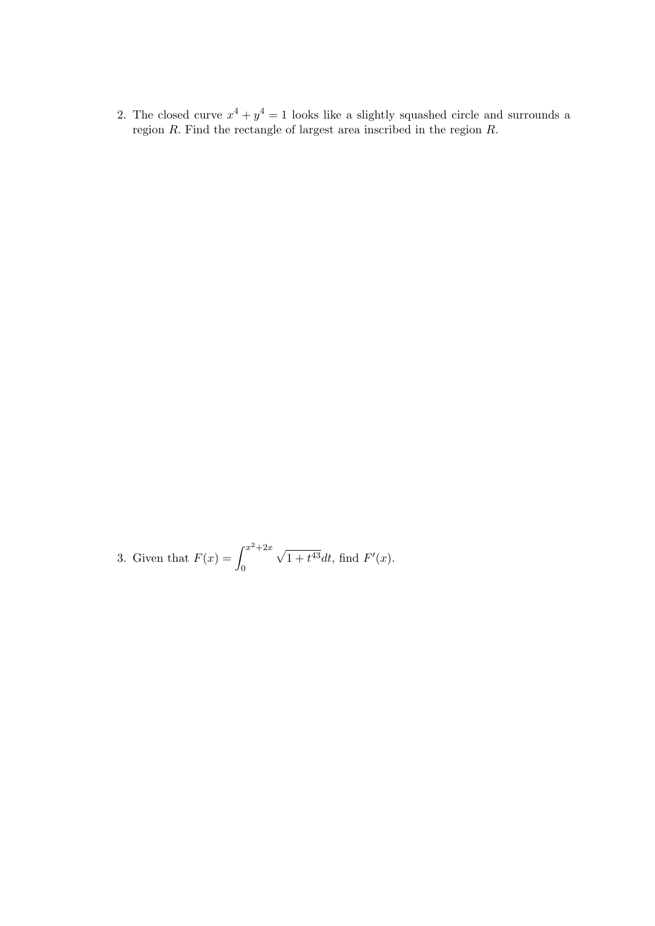2. The closed curve  $x^4 + y^4 = 1$  looks like a slightly squashed circle and surrounds a region R. Find the rectangle of largest area inscribed in the region R.

3. Given that  $F(x) = \int^{x^2 + 2x}$ 0  $\sqrt{1+t^{43}}dt$ , find  $F'(x)$ .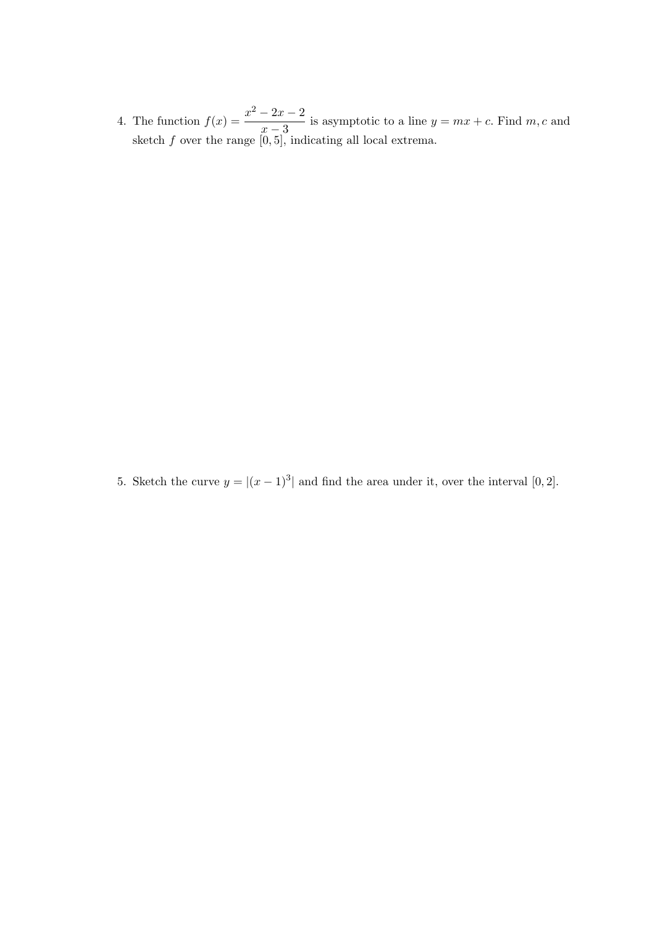4. The function  $f(x) = \frac{x^2 - 2x - 2}{x}$  $\frac{2x-2}{x-3}$  is asymptotic to a line  $y = mx + c$ . Find m, c and sketch  $f$  over the range  $[0, 5]$ , indicating all local extrema.

5. Sketch the curve  $y = |(x-1)^3|$  and find the area under it, over the interval [0, 2].